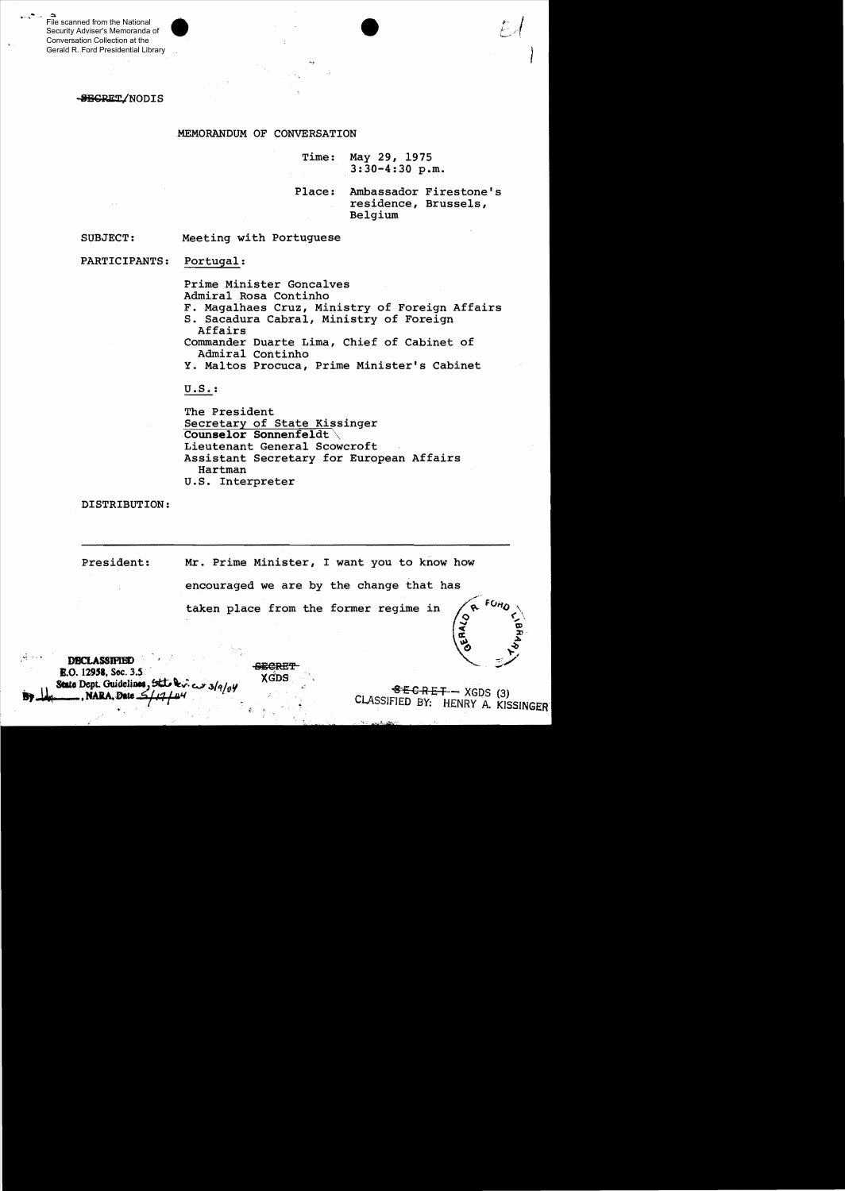File scanned from the National Security Adviser's Memoranda of Conversation Collection at the Gerald R. Ford Presidential Library

## -SEGRET/NODIS

## MEMORANDUM OF CONVERSATION

Time: May 29, 1975 3:30-4:30 p.m.

Place: Ambassador Firestone's residence, Brussels, Belgium

SUBJECT: Meeting with Portuguese

PARTICIPANTS: Portugal:

Prime Minister Goncalves

Admiral Rosa Continho

- F. Magalhaes Cruz, Ministry of Foreign Affairs
- S. Sacadura Cabral, Ministry of Foreign Affairs

Commander Duarte Lima, Chief of Cabinet of Admiral Continho

Y. Maltos Procuca, Prime Minister's Cabinet

U. S. :

The President Secretary of State Kissinger Counselor Sonnenfeldt Lieutenant General Scowcroft Assistant Secretary for European Affairs Hartman U.S. Interpreter

DISTRIBUTION:

President: Mr. Prime Minister, I want you to know how encouraged we are by the change that has taken place from the former regime in

**DBCLASSIFIED**<br> **E.O. 12958. Sec. 3.5** . State Dept. Guidelines, State Devices 3/9/04<br>
NARA, Date  $\frac{1}{2}$ / $\frac{1}{2}$ / $\frac{1}{4}$ / $\frac{1}{4}$ / $\frac{1}{4}$ <br>
CLASSIFIED BY: HENRY A. KISS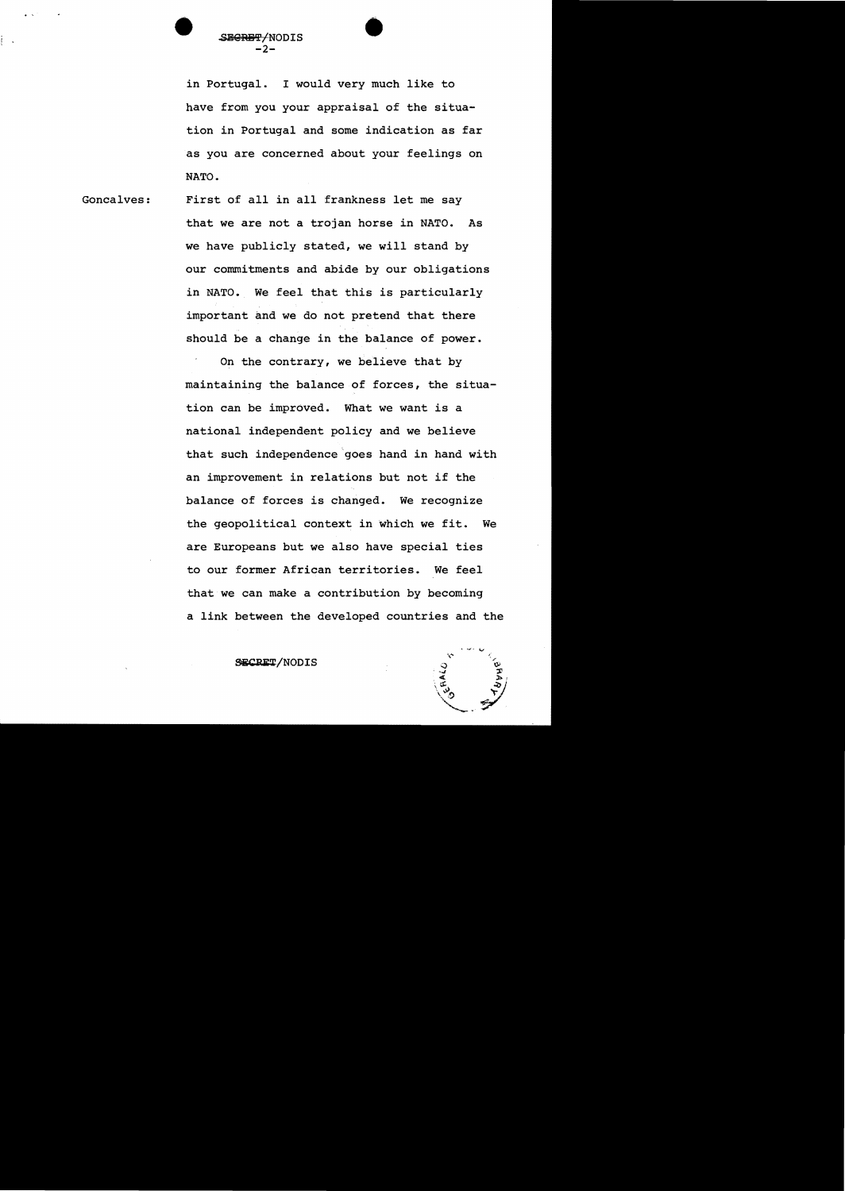

in Portugal. I would very much like to have from you your appraisal of the situation in Portugal and some indication as far as you are concerned about your feelings on NATO.

•

Goncalves: First of all in all frankness let me say that we are not a trojan horse in NATO. As we have publicly stated, we will stand by our commitments and abide by our obligations in NATO. We feel that this is particularly important and we do not pretend that there should be a change in the balance of power.

> On the contrary, we believe that by maintaining the balance of forces, the situation can be improved. What we want is a national independent policy and we believe that such independence goes hand in hand with an improvement in relations but not if the balance of forces is changed. We recognize the geopolitical context in which we fit. We are Europeans but we also have special ties to our former African territories. We feel that we can make a contribution by becoming a link between the developed countries and the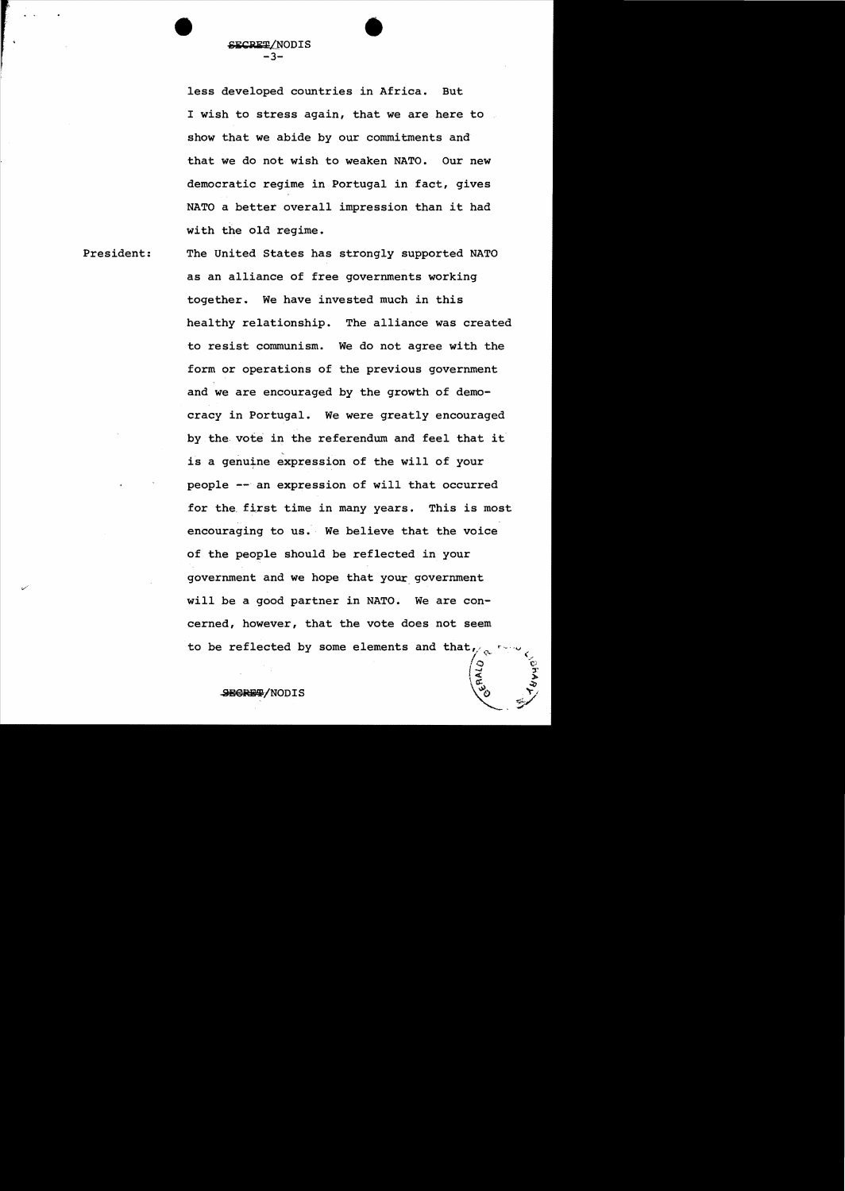less developed countries in Africa. But I wish to stress again, that we are here to show that we abide by our commitments and that we do not wish to weaken NATO. Our new democratic regime in Portugal in fact, gives NATO a better overall impression than it had with the old regime.

**•** 

President: The United States has strongly supported NATO as an alliance of free governments working together. We have invested much in this healthy relationship. The alliance was created to resist communism. We do not agree with the form or operations of the previous government and we are encouraged by the growth of democracy in Portugal. We were greatly encouraged by the. vote in the referendum and feel that it is a genuine expression of the will of your people -- an expression of will that occurred for the. first time in many years. This is most encouraging to us. We believe that the voice of the people should be reflected in your government and we hope that your. government will be a good partner in NATO. We are concerned, however, that the vote does not seem to be reflected by some elements and that  $\sqrt{\alpha}$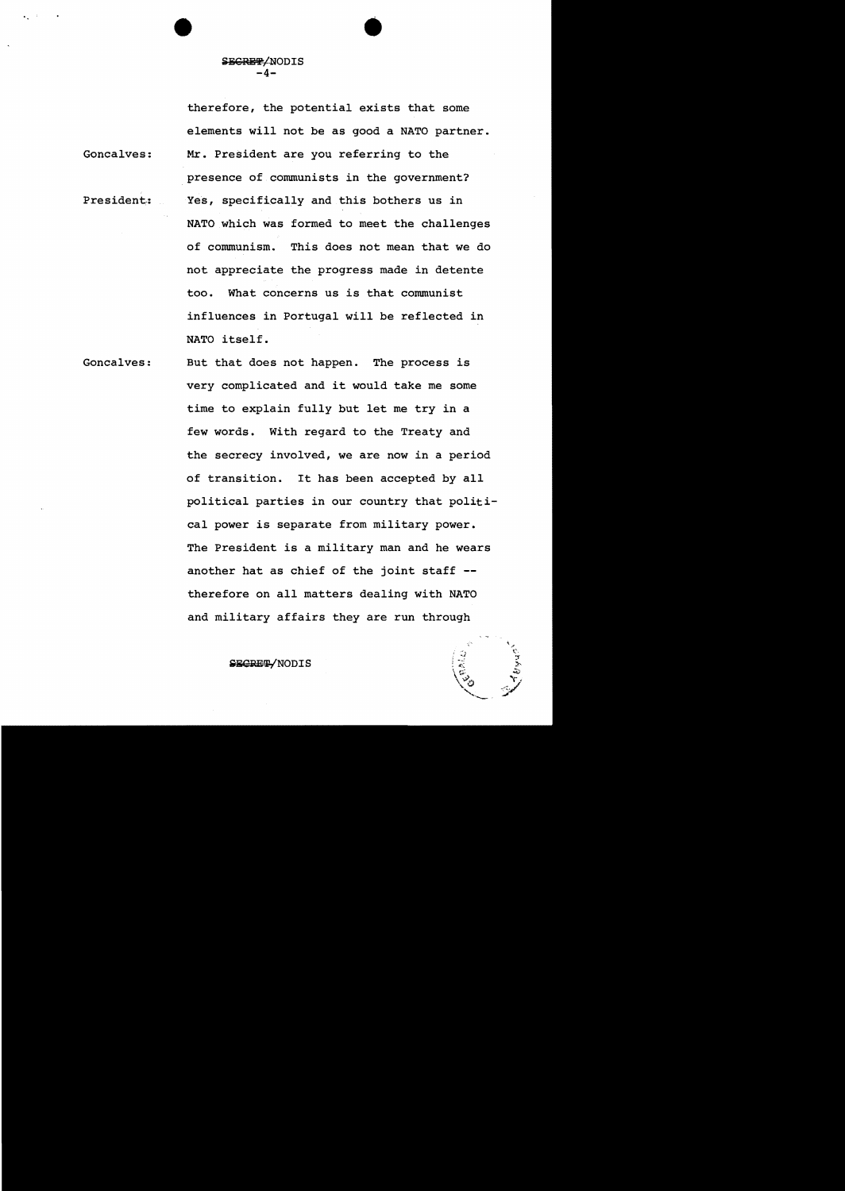•

therefore, the potential exists that some elements will not be as good a NATO partner. Goncalves: Mr. President are you referring to the presence of communists in the government? President: Yes, specifically and this bothers us in NATO which was formed to meet the challenges of communism. This does not mean that we do not appreciate the progress made in detente too. What concerns us is that communist influences in Portugal will be reflected in NATO itself.

Goncalves: But that does not happen. The process is very complicated and it would take me some time to explain fully but let me try in a few words. With regard to the Treaty and the secrecy involved, we are now in a period of transition. It has been accepted by all political parties in our country that political power is separate from military power. The President is a military man and he wears another hat as chief of the joint staff therefore on all matters dealing with NATO and military affairs they are run through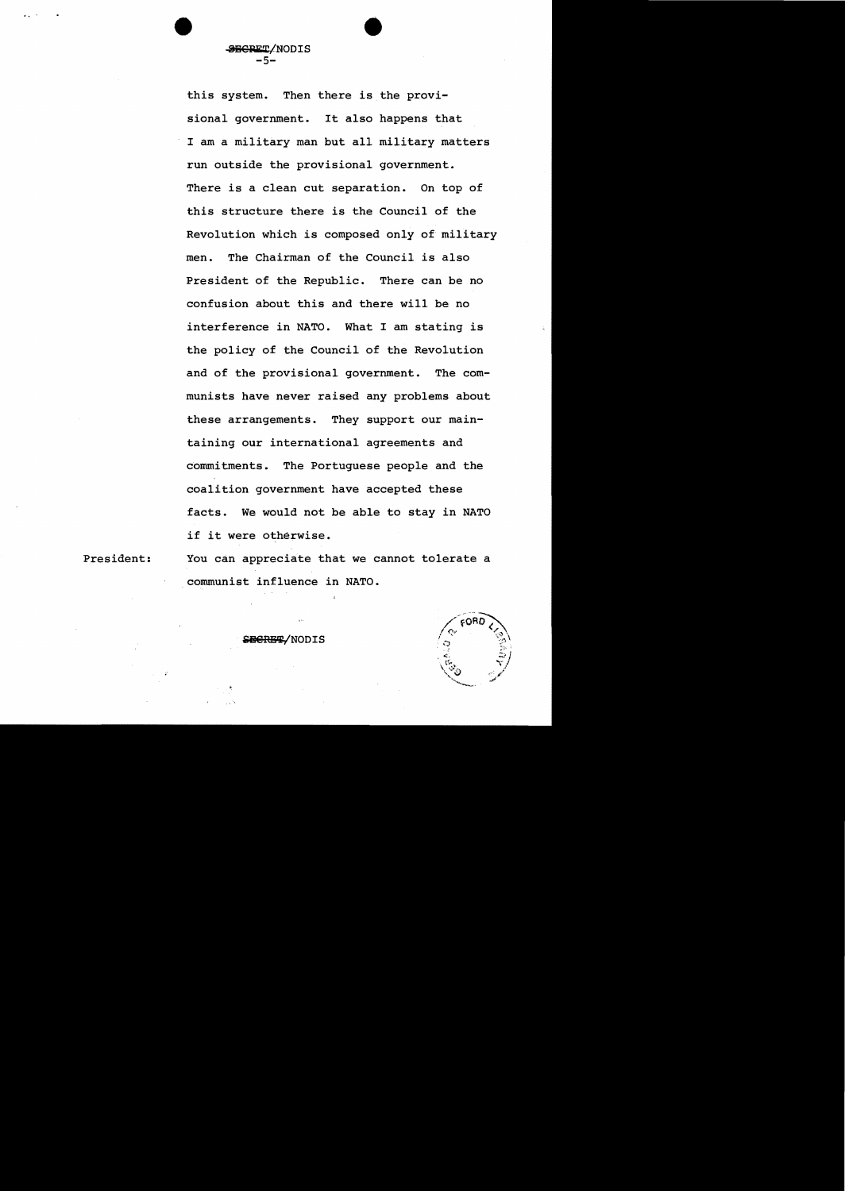this system. Then there is the provisional government. It also happens that I am a military man but all military matters run outside the provisional government. There is a clean cut separation. On top of this structure there is the Council of the Revolution which is composed only of military men. The Chairman of the Council is also President of the Republic. There can be no confusion about this and there will be no interference in NATO. What I am stating is the policy of the Council of the Revolution and of the provisional government. The communists have never raised any problems about these arrangements. They support our maintaining our international agreements and commitments. The Portuguese people and the coalition government have accepted these facts. We would not be able to stay in NATO if it were otherwise.

**SECRET/NODIS** -5-

President:

You can appreciate that we cannot tolerate a communist influence in NATO.

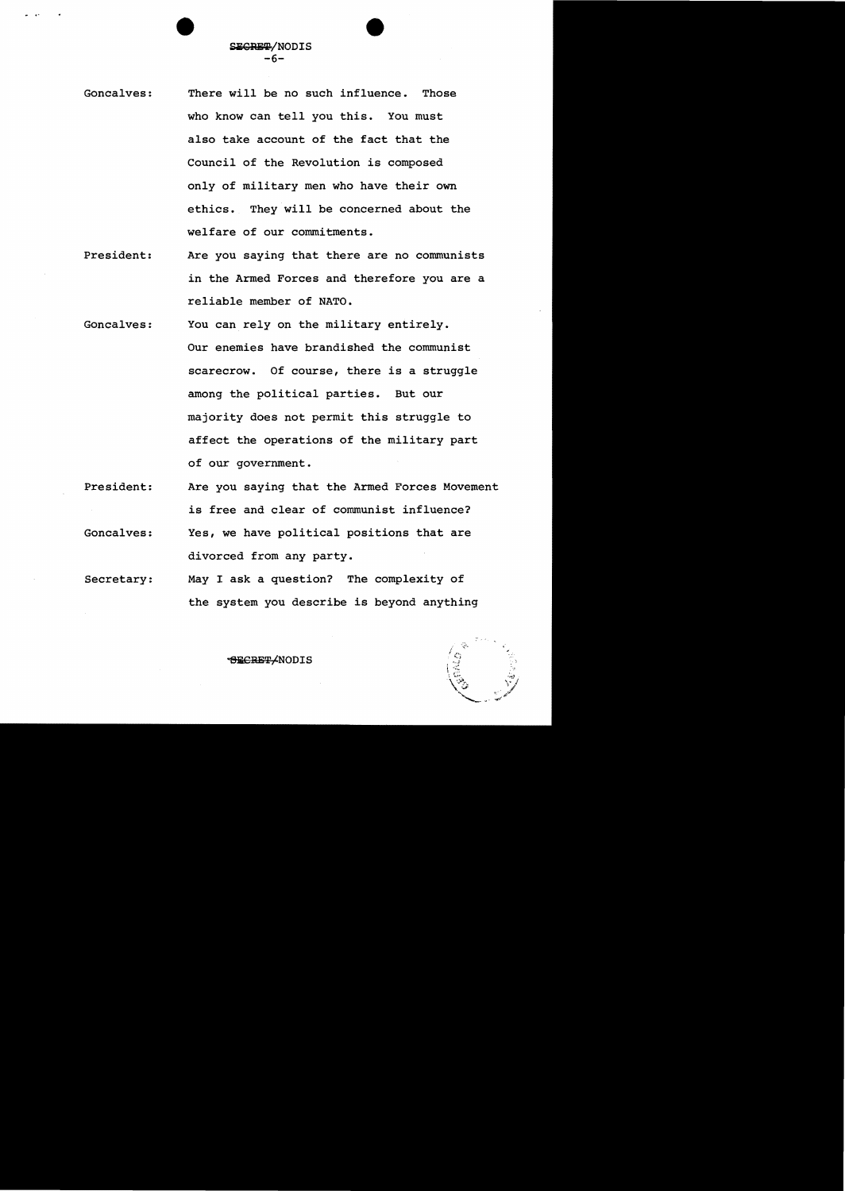- Goncalves: There will be no such influence. Those who know can tell you this. You must also take account of the fact that the Council of the Revolution *is* composed only of military men who have their own ethics. They will be concerned about the welfare of our commitments.
- President: Are you saying that there are no communists in the Armed Forces and therefore you are a reliable member of NATO.
- Goncalves: You can rely on the military entirely. Our enemies have brandished the communist scarecrow. Of course, there is a struggle among the political parties. But our majority does not permit this struggle to affect the operations of the military part of our government.
- President: Goncalves: Are you saying that the Armed Forces Movement *is* free and clear of communist influence? Yes, we have political positions that are

Secretary: divorced from any party. May I ask a question? The complexity of

the system you describe *is* beyond anything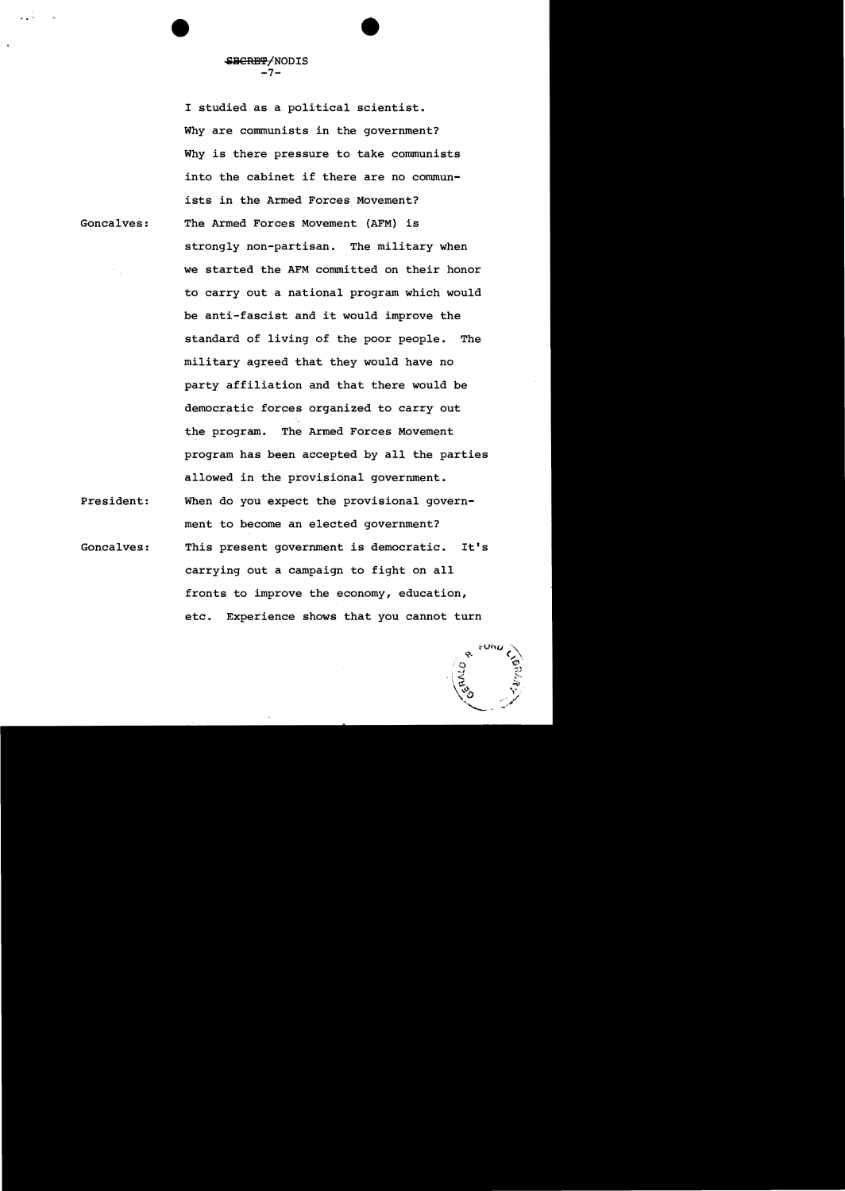I studied as a political scientist. Why are communists in the government? Why is there pressure to take communists into the cabinet if there are no communists in the Armed Forces Movement? The Armed Forces Movement (AFM) is strongly non-partisan. The military when we started the AFM committed on their honor to carry out a national program which would be anti-fascist and it would improve the standard of living of the poor people. The military agreed that they would have no party affiliation and that there would be democratic forces organized to carry out the program. The Armed Forces Movement program has been accepted by all the parties allowed in the provisional government. When do you expect the provisional government to become an elected government? This present government is democratic. It's carrying out a campaign to fight on all fronts to improve the economy, education, etc. Experience shows that you cannot turn

Goncalves:

... •

SBCRET/NODIS -7-

Goncalves:

President: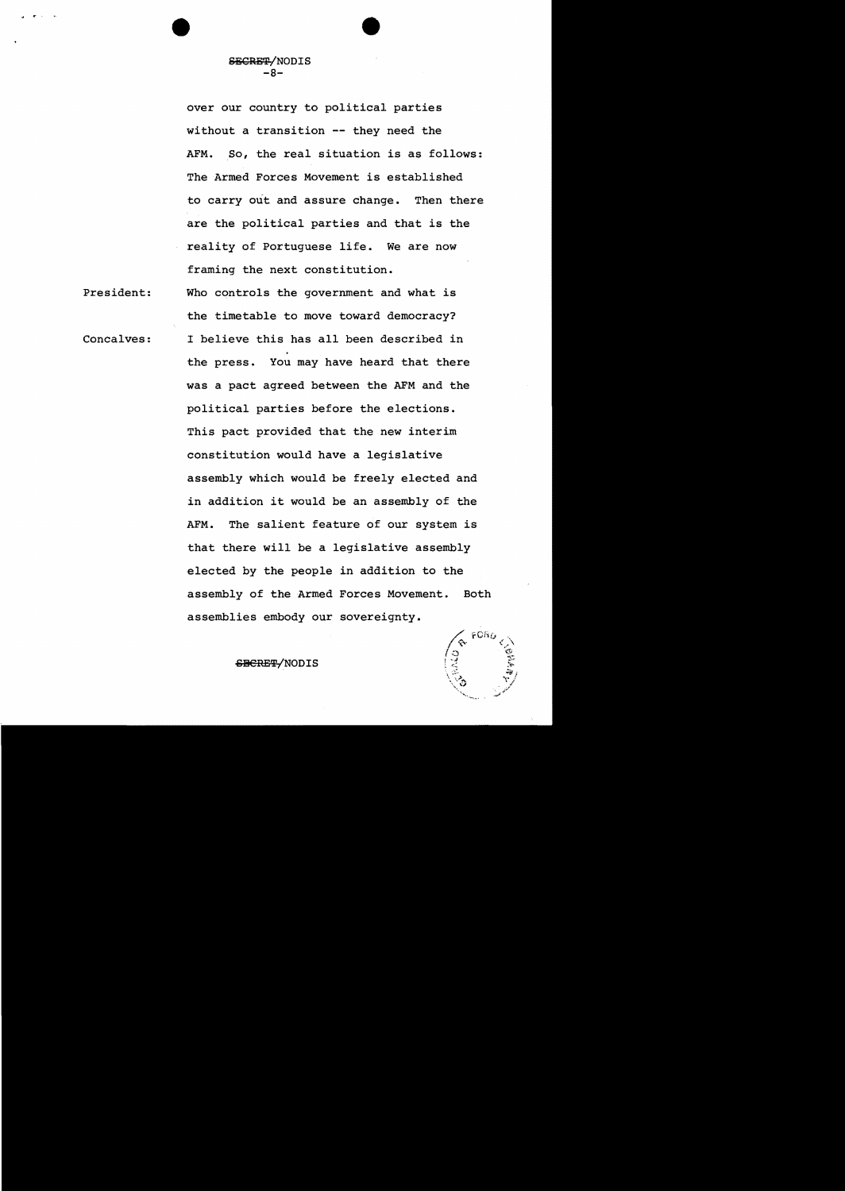over our country to political parties without a transition **--** they need the AFM. So, the real situation is as follows: The Armed Forces Movement is established to carry out and assure change. Then there are the political parties and that is the reality of Portuguese life. We are now framing the next constitution.

President: Concalves: Who controls the government and what is the timetable to move toward democracy? I believe this has all been described in the press. You may have heard that there was a pact agreed between the AFM and the political parties before the elections. This pact provided that the new interim constitution would have a legislative assembly which would be freely elected and in addition it would be an assembly of the AFM. The salient feature of our system is that there will be a legislative assembly elected by the people in addition to the assembly of the Armed Forces Movement. Both assemblies embody our sovereignty.

SBCRET/NODIS

FORC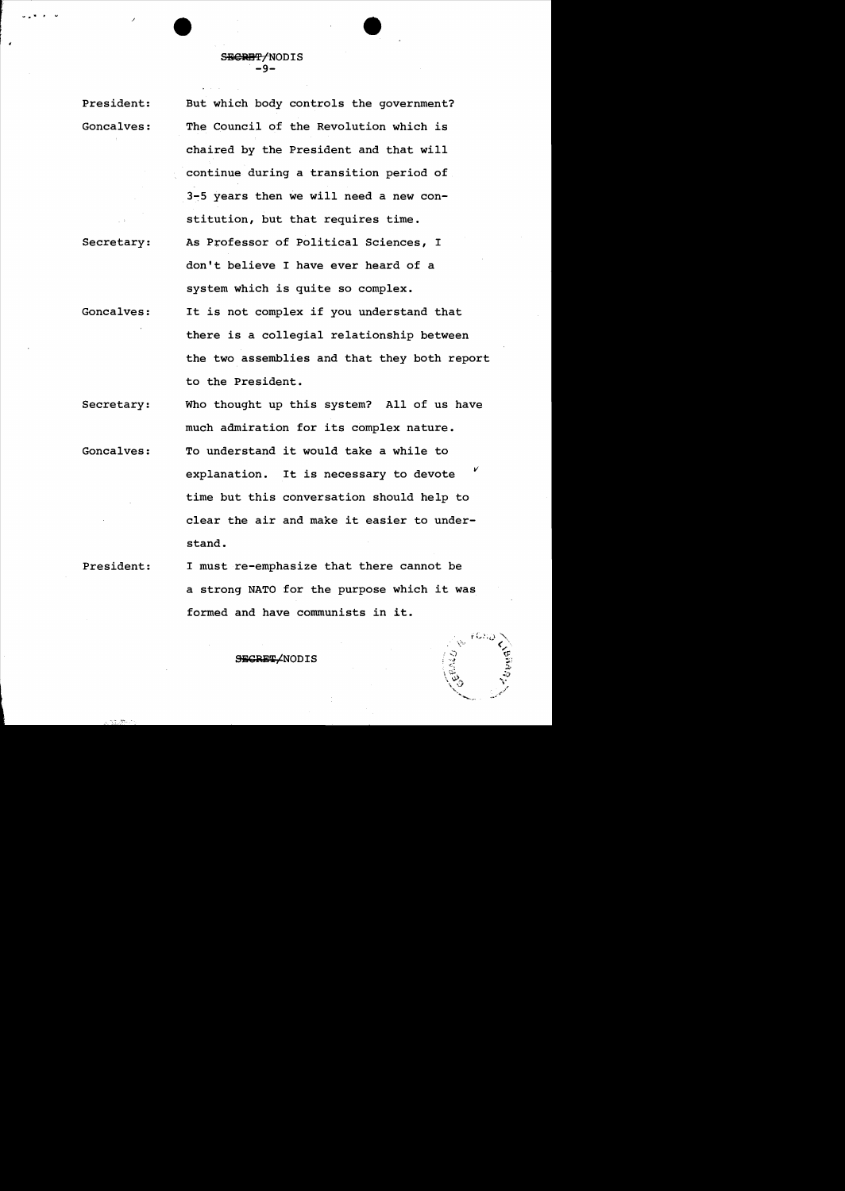## SECRET/NODIS -۹-

President: Goncalves:

Secretary:

.<br>را المساوات المساواة المعنى بن المساوات المساوات المساوات المساوات المساوات المساوات المساوات المساوات المساوا<br>المساوات المساوات المساوات المساوات المساوات المساوات المساوات المساوات المساوات المساوات المساوات المساوات

As Professor of Political Sciences, I But which body controls the government? The Council of the Revolution which is chaired by the President and that will continue during a transition period of 3~5 years then we will need a new constitution, but that requires time. don't believe I have ever heard of a system which is quite so complex.

Goncalves: It is not complex if you understand that there is a collegial relationship between the two assemblies and that they both report to the President.

Secretary: Who thought up this system? All of us have much admiration for its complex nature.

Goncalves: To understand it would take a while to explanation. It is necessary to devote time but this conversation should help to clear the air and make it easier to understand. *v* 

President: I must re-emphasize that there cannot be a strong NATO for the purpose which it was formed and have communists in it.